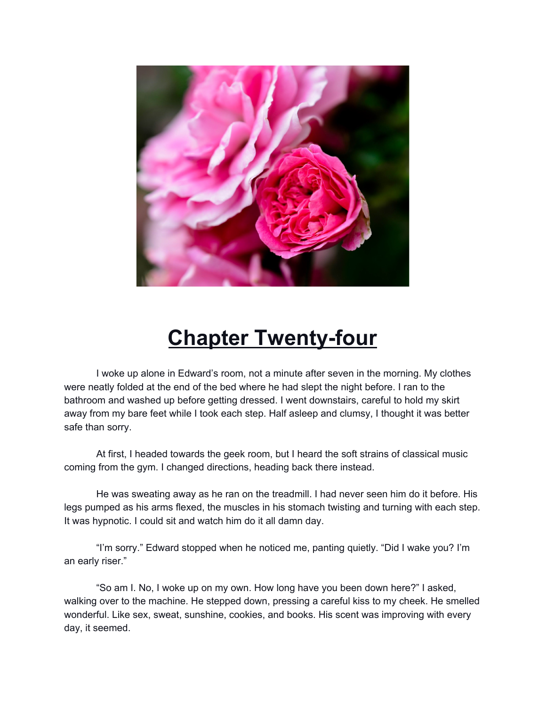

## **Chapter Twenty-four**

I woke up alone in Edward's room, not a minute after seven in the morning. My clothes were neatly folded at the end of the bed where he had slept the night before. I ran to the bathroom and washed up before getting dressed. I went downstairs, careful to hold my skirt away from my bare feet while I took each step. Half asleep and clumsy, I thought it was better safe than sorry.

At first, I headed towards the geek room, but I heard the soft strains of classical music coming from the gym. I changed directions, heading back there instead.

He was sweating away as he ran on the treadmill. I had never seen him do it before. His legs pumped as his arms flexed, the muscles in his stomach twisting and turning with each step. It was hypnotic. I could sit and watch him do it all damn day.

"I'm sorry." Edward stopped when he noticed me, panting quietly. "Did I wake you? I'm an early riser."

"So am I. No, I woke up on my own. How long have you been down here?" I asked, walking over to the machine. He stepped down, pressing a careful kiss to my cheek. He smelled wonderful. Like sex, sweat, sunshine, cookies, and books. His scent was improving with every day, it seemed.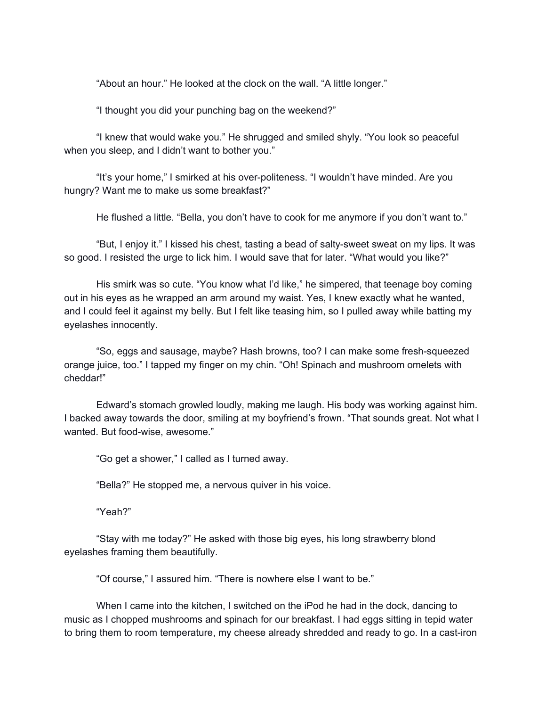"About an hour." He looked at the clock on the wall. "A little longer."

"I thought you did your punching bag on the weekend?"

"I knew that would wake you." He shrugged and smiled shyly. "You look so peaceful when you sleep, and I didn't want to bother you."

"It's your home," I smirked at his over-politeness. "I wouldn't have minded. Are you hungry? Want me to make us some breakfast?"

He flushed a little. "Bella, you don't have to cook for me anymore if you don't want to."

"But, I enjoy it." I kissed his chest, tasting a bead of salty-sweet sweat on my lips. It was so good. I resisted the urge to lick him. I would save that for later. "What would you like?"

His smirk was so cute. "You know what I'd like," he simpered, that teenage boy coming out in his eyes as he wrapped an arm around my waist. Yes, I knew exactly what he wanted, and I could feel it against my belly. But I felt like teasing him, so I pulled away while batting my eyelashes innocently.

"So, eggs and sausage, maybe? Hash browns, too? I can make some fresh-squeezed orange juice, too." I tapped my finger on my chin. "Oh! Spinach and mushroom omelets with cheddar!"

Edward's stomach growled loudly, making me laugh. His body was working against him. I backed away towards the door, smiling at my boyfriend's frown. "That sounds great. Not what I wanted. But food-wise, awesome."

"Go get a shower," I called as I turned away.

"Bella?" He stopped me, a nervous quiver in his voice.

"Yeah?"

"Stay with me today?" He asked with those big eyes, his long strawberry blond eyelashes framing them beautifully.

"Of course," I assured him. "There is nowhere else I want to be."

When I came into the kitchen, I switched on the iPod he had in the dock, dancing to music as I chopped mushrooms and spinach for our breakfast. I had eggs sitting in tepid water to bring them to room temperature, my cheese already shredded and ready to go. In a cast-iron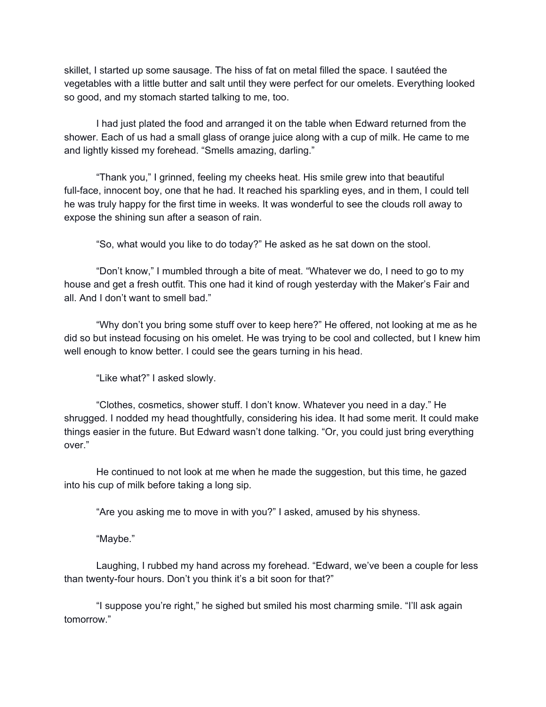skillet, I started up some sausage. The hiss of fat on metal filled the space. I sautéed the vegetables with a little butter and salt until they were perfect for our omelets. Everything looked so good, and my stomach started talking to me, too.

I had just plated the food and arranged it on the table when Edward returned from the shower. Each of us had a small glass of orange juice along with a cup of milk. He came to me and lightly kissed my forehead. "Smells amazing, darling."

"Thank you," I grinned, feeling my cheeks heat. His smile grew into that beautiful full-face, innocent boy, one that he had. It reached his sparkling eyes, and in them, I could tell he was truly happy for the first time in weeks. It was wonderful to see the clouds roll away to expose the shining sun after a season of rain.

"So, what would you like to do today?" He asked as he sat down on the stool.

"Don't know," I mumbled through a bite of meat. "Whatever we do, I need to go to my house and get a fresh outfit. This one had it kind of rough yesterday with the Maker's Fair and all. And I don't want to smell bad."

"Why don't you bring some stuff over to keep here?" He offered, not looking at me as he did so but instead focusing on his omelet. He was trying to be cool and collected, but I knew him well enough to know better. I could see the gears turning in his head.

"Like what?" I asked slowly.

"Clothes, cosmetics, shower stuff. I don't know. Whatever you need in a day." He shrugged. I nodded my head thoughtfully, considering his idea. It had some merit. It could make things easier in the future. But Edward wasn't done talking. "Or, you could just bring everything over."

He continued to not look at me when he made the suggestion, but this time, he gazed into his cup of milk before taking a long sip.

"Are you asking me to move in with you?" I asked, amused by his shyness.

"Maybe."

Laughing, I rubbed my hand across my forehead. "Edward, we've been a couple for less than twenty-four hours. Don't you think it's a bit soon for that?"

"I suppose you're right," he sighed but smiled his most charming smile. "I'll ask again tomorrow."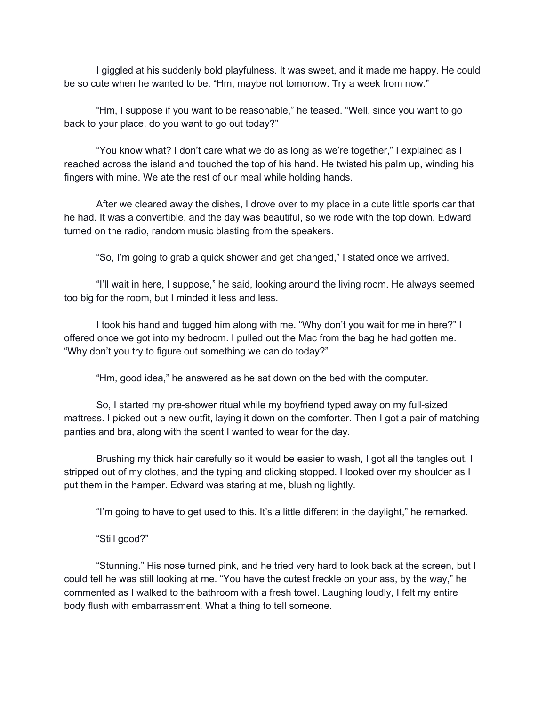I giggled at his suddenly bold playfulness. It was sweet, and it made me happy. He could be so cute when he wanted to be. "Hm, maybe not tomorrow. Try a week from now."

"Hm, I suppose if you want to be reasonable," he teased. "Well, since you want to go back to your place, do you want to go out today?"

"You know what? I don't care what we do as long as we're together," I explained as I reached across the island and touched the top of his hand. He twisted his palm up, winding his fingers with mine. We ate the rest of our meal while holding hands.

After we cleared away the dishes, I drove over to my place in a cute little sports car that he had. It was a convertible, and the day was beautiful, so we rode with the top down. Edward turned on the radio, random music blasting from the speakers.

"So, I'm going to grab a quick shower and get changed," I stated once we arrived.

"I'll wait in here, I suppose," he said, looking around the living room. He always seemed too big for the room, but I minded it less and less.

I took his hand and tugged him along with me. "Why don't you wait for me in here?" I offered once we got into my bedroom. I pulled out the Mac from the bag he had gotten me. "Why don't you try to figure out something we can do today?"

"Hm, good idea," he answered as he sat down on the bed with the computer.

So, I started my pre-shower ritual while my boyfriend typed away on my full-sized mattress. I picked out a new outfit, laying it down on the comforter. Then I got a pair of matching panties and bra, along with the scent I wanted to wear for the day.

Brushing my thick hair carefully so it would be easier to wash, I got all the tangles out. I stripped out of my clothes, and the typing and clicking stopped. I looked over my shoulder as I put them in the hamper. Edward was staring at me, blushing lightly.

"I'm going to have to get used to this. It's a little different in the daylight," he remarked.

"Still good?"

"Stunning." His nose turned pink, and he tried very hard to look back at the screen, but I could tell he was still looking at me. "You have the cutest freckle on your ass, by the way," he commented as I walked to the bathroom with a fresh towel. Laughing loudly, I felt my entire body flush with embarrassment. What a thing to tell someone.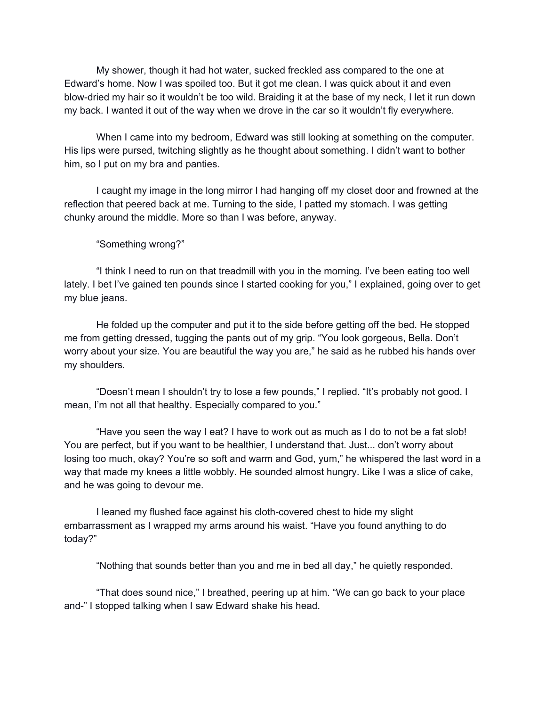My shower, though it had hot water, sucked freckled ass compared to the one at Edward's home. Now I was spoiled too. But it got me clean. I was quick about it and even blow-dried my hair so it wouldn't be too wild. Braiding it at the base of my neck, I let it run down my back. I wanted it out of the way when we drove in the car so it wouldn't fly everywhere.

When I came into my bedroom, Edward was still looking at something on the computer. His lips were pursed, twitching slightly as he thought about something. I didn't want to bother him, so I put on my bra and panties.

I caught my image in the long mirror I had hanging off my closet door and frowned at the reflection that peered back at me. Turning to the side, I patted my stomach. I was getting chunky around the middle. More so than I was before, anyway.

## "Something wrong?"

"I think I need to run on that treadmill with you in the morning. I've been eating too well lately. I bet I've gained ten pounds since I started cooking for you," I explained, going over to get my blue jeans.

He folded up the computer and put it to the side before getting off the bed. He stopped me from getting dressed, tugging the pants out of my grip. "You look gorgeous, Bella. Don't worry about your size. You are beautiful the way you are," he said as he rubbed his hands over my shoulders.

"Doesn't mean I shouldn't try to lose a few pounds," I replied. "It's probably not good. I mean, I'm not all that healthy. Especially compared to you."

"Have you seen the way I eat? I have to work out as much as I do to not be a fat slob! You are perfect, but if you want to be healthier, I understand that. Just... don't worry about losing too much, okay? You're so soft and warm and God, yum," he whispered the last word in a way that made my knees a little wobbly. He sounded almost hungry. Like I was a slice of cake, and he was going to devour me.

I leaned my flushed face against his cloth-covered chest to hide my slight embarrassment as I wrapped my arms around his waist. "Have you found anything to do today?"

"Nothing that sounds better than you and me in bed all day," he quietly responded.

"That does sound nice," I breathed, peering up at him. "We can go back to your place and-" I stopped talking when I saw Edward shake his head.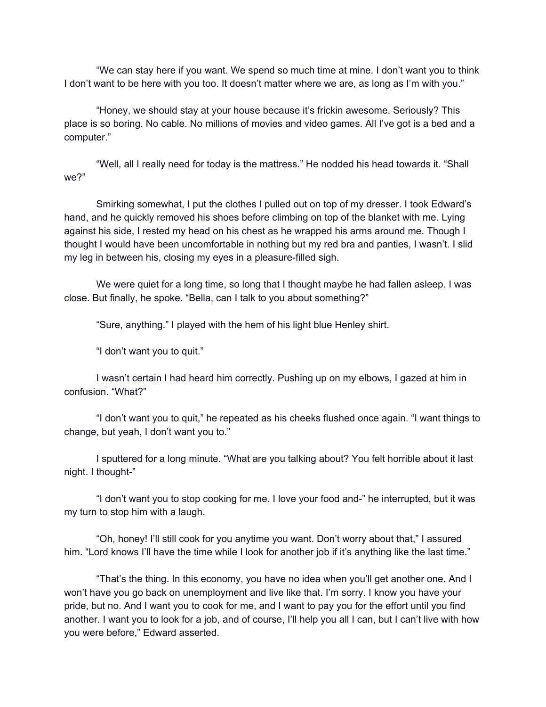"We can stay here if you want. We spend so much time at mine. I don't want you to think I don't want to be here with you too. It doesn't matter where we are, as long as I'm with you."

"Honey, we should stay at your house because it's frickin awesome. Seriously? This place is so boring. No cable. No millions of movies and video games. All I've got is a bed and a computer."

"Well, all I really need for today is the mattress." He nodded his head towards it. "Shall we?"

Smirking somewhat, I put the clothes I pulled out on top of my dresser. I took Edward's hand, and he quickly removed his shoes before climbing on top of the blanket with me. Lying against his side, I rested my head on his chest as he wrapped his arms around me. Though I thought I would have been uncomfortable in nothing but my red bra and panties, I wasn't. I slid my leg in between his, closing my eyes in a pleasure-filled sigh.

We were quiet for a long time, so long that I thought maybe he had fallen asleep. I was close. But finally, he spoke. "Bella, can I talk to you about something?"

"Sure, anything." I played with the hem of his light blue Henley shirt.

"I don't want you to quit."

I wasn't certain I had heard him correctly. Pushing up on my elbows, I gazed at him in confusion. "What?"

"I don't want you to quit," he repeated as his cheeks flushed once again. "I want things to change, but yeah, I don't want you to."

I sputtered for a long minute. "What are you talking about? You felt horrible about it last night. I thought-"

"I don't want you to stop cooking for me. I love your food and-" he interrupted, but it was my turn to stop him with a laugh.

"Oh, honey! I'll still cook for you anytime you want. Don't worry about that," I assured him. "Lord knows I'll have the time while I look for another job if it's anything like the last time."

"That's the thing. In this economy, you have no idea when you'll get another one. And I won't have you go back on unemployment and live like that. I'm sorry. I know you have your pride, but no. And I want you to cook for me, and I want to pay you for the effort until you find another. I want you to look for a job, and of course, I'll help you all I can, but I can't live with how you were before," Edward asserted.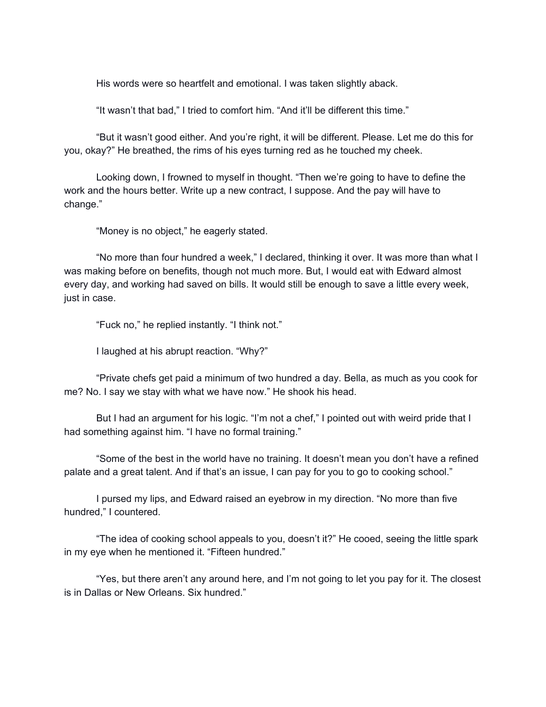His words were so heartfelt and emotional. I was taken slightly aback.

"It wasn't that bad," I tried to comfort him. "And it'll be different this time."

"But it wasn't good either. And you're right, it will be different. Please. Let me do this for you, okay?" He breathed, the rims of his eyes turning red as he touched my cheek.

Looking down, I frowned to myself in thought. "Then we're going to have to define the work and the hours better. Write up a new contract, I suppose. And the pay will have to change."

"Money is no object," he eagerly stated.

"No more than four hundred a week," I declared, thinking it over. It was more than what I was making before on benefits, though not much more. But, I would eat with Edward almost every day, and working had saved on bills. It would still be enough to save a little every week, just in case.

"Fuck no," he replied instantly. "I think not."

I laughed at his abrupt reaction. "Why?"

"Private chefs get paid a minimum of two hundred a day. Bella, as much as you cook for me? No. I say we stay with what we have now." He shook his head.

But I had an argument for his logic. "I'm not a chef," I pointed out with weird pride that I had something against him. "I have no formal training."

"Some of the best in the world have no training. It doesn't mean you don't have a refined palate and a great talent. And if that's an issue, I can pay for you to go to cooking school."

I pursed my lips, and Edward raised an eyebrow in my direction. "No more than five hundred," I countered.

"The idea of cooking school appeals to you, doesn't it?" He cooed, seeing the little spark in my eye when he mentioned it. "Fifteen hundred."

"Yes, but there aren't any around here, and I'm not going to let you pay for it. The closest is in Dallas or New Orleans. Six hundred."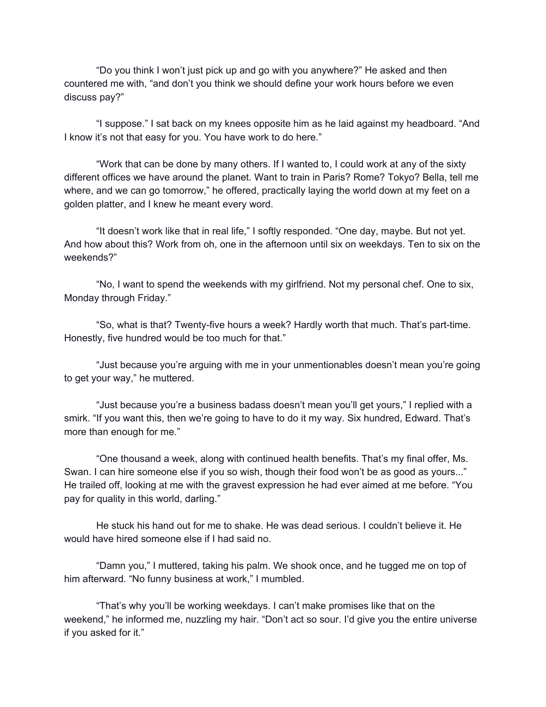"Do you think I won't just pick up and go with you anywhere?" He asked and then countered me with, "and don't you think we should define your work hours before we even discuss pay?"

"I suppose." I sat back on my knees opposite him as he laid against my headboard. "And I know it's not that easy for you. You have work to do here."

"Work that can be done by many others. If I wanted to, I could work at any of the sixty different offices we have around the planet. Want to train in Paris? Rome? Tokyo? Bella, tell me where, and we can go tomorrow," he offered, practically laying the world down at my feet on a golden platter, and I knew he meant every word.

"It doesn't work like that in real life," I softly responded. "One day, maybe. But not yet. And how about this? Work from oh, one in the afternoon until six on weekdays. Ten to six on the weekends?"

"No, I want to spend the weekends with my girlfriend. Not my personal chef. One to six, Monday through Friday."

"So, what is that? Twenty-five hours a week? Hardly worth that much. That's part-time. Honestly, five hundred would be too much for that."

"Just because you're arguing with me in your unmentionables doesn't mean you're going to get your way," he muttered.

"Just because you're a business badass doesn't mean you'll get yours," I replied with a smirk. "If you want this, then we're going to have to do it my way. Six hundred, Edward. That's more than enough for me."

"One thousand a week, along with continued health benefits. That's my final offer, Ms. Swan. I can hire someone else if you so wish, though their food won't be as good as yours..." He trailed off, looking at me with the gravest expression he had ever aimed at me before. "You pay for quality in this world, darling."

He stuck his hand out for me to shake. He was dead serious. I couldn't believe it. He would have hired someone else if I had said no.

"Damn you," I muttered, taking his palm. We shook once, and he tugged me on top of him afterward. "No funny business at work," I mumbled.

"That's why you'll be working weekdays. I can't make promises like that on the weekend," he informed me, nuzzling my hair. "Don't act so sour. I'd give you the entire universe if you asked for it."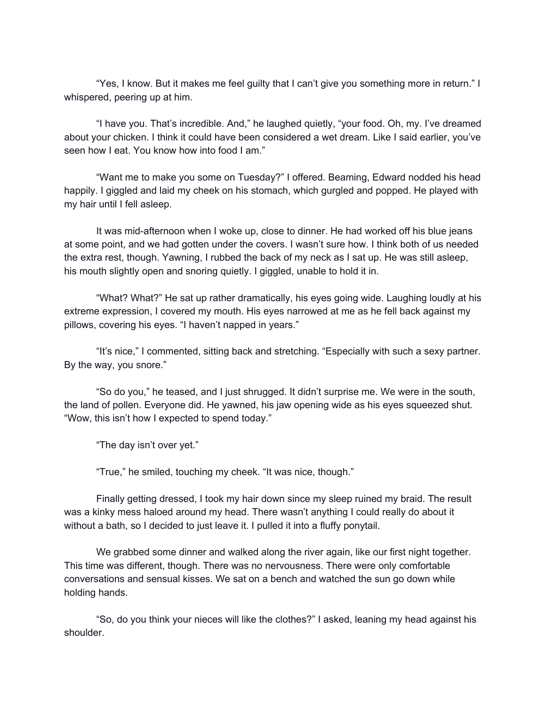"Yes, I know. But it makes me feel guilty that I can't give you something more in return." I whispered, peering up at him.

"I have you. That's incredible. And," he laughed quietly, "your food. Oh, my. I've dreamed about your chicken. I think it could have been considered a wet dream. Like I said earlier, you've seen how I eat. You know how into food I am."

"Want me to make you some on Tuesday?" I offered. Beaming, Edward nodded his head happily. I giggled and laid my cheek on his stomach, which gurgled and popped. He played with my hair until I fell asleep.

It was mid-afternoon when I woke up, close to dinner. He had worked off his blue jeans at some point, and we had gotten under the covers. I wasn't sure how. I think both of us needed the extra rest, though. Yawning, I rubbed the back of my neck as I sat up. He was still asleep, his mouth slightly open and snoring quietly. I giggled, unable to hold it in.

"What? What?" He sat up rather dramatically, his eyes going wide. Laughing loudly at his extreme expression, I covered my mouth. His eyes narrowed at me as he fell back against my pillows, covering his eyes. "I haven't napped in years."

"It's nice," I commented, sitting back and stretching. "Especially with such a sexy partner. By the way, you snore."

"So do you," he teased, and I just shrugged. It didn't surprise me. We were in the south, the land of pollen. Everyone did. He yawned, his jaw opening wide as his eyes squeezed shut. "Wow, this isn't how I expected to spend today."

"The day isn't over yet."

"True," he smiled, touching my cheek. "It was nice, though."

Finally getting dressed, I took my hair down since my sleep ruined my braid. The result was a kinky mess haloed around my head. There wasn't anything I could really do about it without a bath, so I decided to just leave it. I pulled it into a fluffy ponytail.

We grabbed some dinner and walked along the river again, like our first night together. This time was different, though. There was no nervousness. There were only comfortable conversations and sensual kisses. We sat on a bench and watched the sun go down while holding hands.

"So, do you think your nieces will like the clothes?" I asked, leaning my head against his shoulder.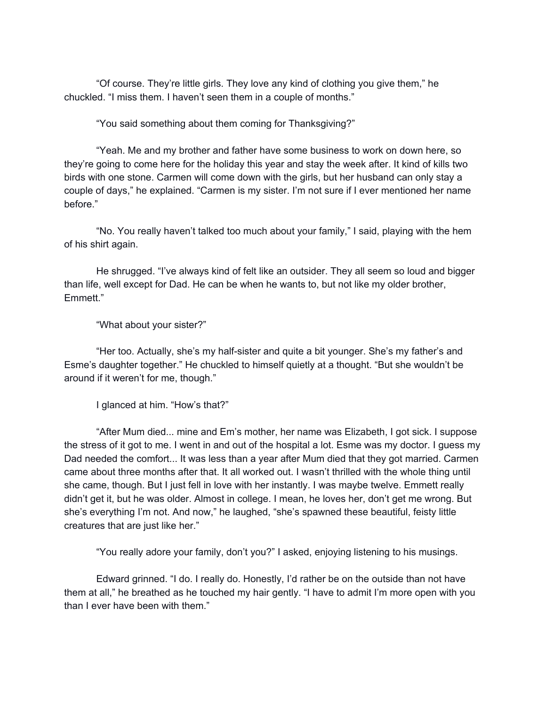"Of course. They're little girls. They love any kind of clothing you give them," he chuckled. "I miss them. I haven't seen them in a couple of months."

"You said something about them coming for Thanksgiving?"

"Yeah. Me and my brother and father have some business to work on down here, so they're going to come here for the holiday this year and stay the week after. It kind of kills two birds with one stone. Carmen will come down with the girls, but her husband can only stay a couple of days," he explained. "Carmen is my sister. I'm not sure if I ever mentioned her name before."

"No. You really haven't talked too much about your family," I said, playing with the hem of his shirt again.

He shrugged. "I've always kind of felt like an outsider. They all seem so loud and bigger than life, well except for Dad. He can be when he wants to, but not like my older brother, Emmett."

"What about your sister?"

"Her too. Actually, she's my half-sister and quite a bit younger. She's my father's and Esme's daughter together." He chuckled to himself quietly at a thought. "But she wouldn't be around if it weren't for me, though."

I glanced at him. "How's that?"

"After Mum died... mine and Em's mother, her name was Elizabeth, I got sick. I suppose the stress of it got to me. I went in and out of the hospital a lot. Esme was my doctor. I guess my Dad needed the comfort... It was less than a year after Mum died that they got married. Carmen came about three months after that. It all worked out. I wasn't thrilled with the whole thing until she came, though. But I just fell in love with her instantly. I was maybe twelve. Emmett really didn't get it, but he was older. Almost in college. I mean, he loves her, don't get me wrong. But she's everything I'm not. And now," he laughed, "she's spawned these beautiful, feisty little creatures that are just like her."

"You really adore your family, don't you?" I asked, enjoying listening to his musings.

Edward grinned. "I do. I really do. Honestly, I'd rather be on the outside than not have them at all," he breathed as he touched my hair gently. "I have to admit I'm more open with you than I ever have been with them."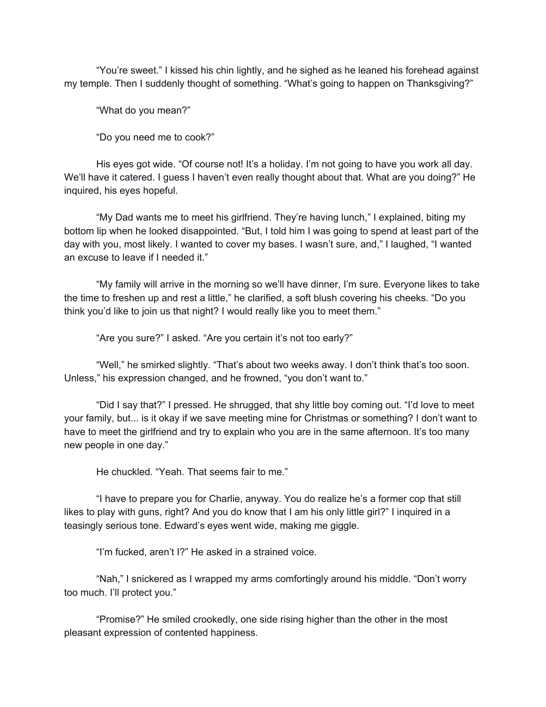"You're sweet." I kissed his chin lightly, and he sighed as he leaned his forehead against my temple. Then I suddenly thought of something. "What's going to happen on Thanksgiving?"

"What do you mean?"

"Do you need me to cook?"

His eyes got wide. "Of course not! It's a holiday. I'm not going to have you work all day. We'll have it catered. I guess I haven't even really thought about that. What are you doing?" He inquired, his eyes hopeful.

"My Dad wants me to meet his girlfriend. They're having lunch," I explained, biting my bottom lip when he looked disappointed. "But, I told him I was going to spend at least part of the day with you, most likely. I wanted to cover my bases. I wasn't sure, and," I laughed, "I wanted an excuse to leave if I needed it."

"My family will arrive in the morning so we'll have dinner, I'm sure. Everyone likes to take the time to freshen up and rest a little," he clarified, a soft blush covering his cheeks. "Do you think you'd like to join us that night? I would really like you to meet them."

"Are you sure?" I asked. "Are you certain it's not too early?"

"Well," he smirked slightly. "That's about two weeks away. I don't think that's too soon. Unless," his expression changed, and he frowned, "you don't want to."

"Did I say that?" I pressed. He shrugged, that shy little boy coming out. "I'd love to meet your family, but... is it okay if we save meeting mine for Christmas or something? I don't want to have to meet the girlfriend and try to explain who you are in the same afternoon. It's too many new people in one day."

He chuckled. "Yeah. That seems fair to me."

"I have to prepare you for Charlie, anyway. You do realize he's a former cop that still likes to play with guns, right? And you do know that I am his only little girl?" I inquired in a teasingly serious tone. Edward's eyes went wide, making me giggle.

"I'm fucked, aren't I?" He asked in a strained voice.

"Nah," I snickered as I wrapped my arms comfortingly around his middle. "Don't worry too much. I'll protect you."

"Promise?" He smiled crookedly, one side rising higher than the other in the most pleasant expression of contented happiness.